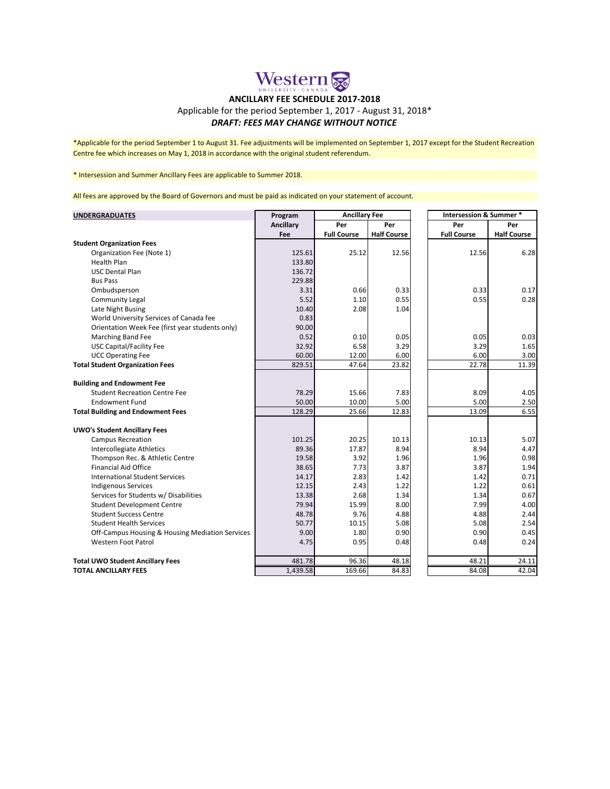# Western &

## **ANCILLARY FEE SCHEDULE 2017-2018**

### Applicable for the period September 1, 2017 - August 31, 2018\*

#### *DRAFT: FEES MAY CHANGE WITHOUT NOTICE*

\*Applicable for the period September 1 to August 31. Fee adjustments will be implemented on September 1, 2017 except for the Student Recreation Centre fee which increases on May 1, 2018 in accordance with the original student referendum.

### \* Intersession and Summer Ancillary Fees are applicable to Summer 2018.

All fees are approved by the Board of Governors and must be paid as indicated on your statement of account.

| <b>UNDERGRADUATES</b>                           | Program   | <b>Ancillary Fee</b> |                    |  | <b>Intersession &amp; Summer *</b> |                    |
|-------------------------------------------------|-----------|----------------------|--------------------|--|------------------------------------|--------------------|
|                                                 | Ancillary | Per                  | Per                |  | Per                                | Per                |
|                                                 | Fee       | <b>Full Course</b>   | <b>Half Course</b> |  | <b>Full Course</b>                 | <b>Half Course</b> |
| <b>Student Organization Fees</b>                |           |                      |                    |  |                                    |                    |
| Organization Fee (Note 1)                       | 125.61    | 25.12                | 12.56              |  | 12.56                              | 6.28               |
| <b>Health Plan</b>                              | 133.80    |                      |                    |  |                                    |                    |
| <b>USC Dental Plan</b>                          | 136.72    |                      |                    |  |                                    |                    |
| <b>Bus Pass</b>                                 | 229.88    |                      |                    |  |                                    |                    |
| Ombudsperson                                    | 3.31      | 0.66                 | 0.33               |  | 0.33                               | 0.17               |
| <b>Community Legal</b>                          | 5.52      | 1.10                 | 0.55               |  | 0.55                               | 0.28               |
| Late Night Busing                               | 10.40     | 2.08                 | 1.04               |  |                                    |                    |
| World University Services of Canada fee         | 0.83      |                      |                    |  |                                    |                    |
| Orientation Week Fee (first year students only) | 90.00     |                      |                    |  |                                    |                    |
| Marching Band Fee                               | 0.52      | 0.10                 | 0.05               |  | 0.05                               | 0.03               |
| <b>USC Capital/Facility Fee</b>                 | 32.92     | 6.58                 | 3.29               |  | 3.29                               | 1.65               |
| <b>UCC Operating Fee</b>                        | 60.00     | 12.00                | 6.00               |  | 6.00                               | 3.00               |
| <b>Total Student Organization Fees</b>          | 829.51    | 47.64                | 23.82              |  | 22.78                              | 11.39              |
|                                                 |           |                      |                    |  |                                    |                    |
| <b>Building and Endowment Fee</b>               |           |                      |                    |  |                                    |                    |
| <b>Student Recreation Centre Fee</b>            | 78.29     | 15.66                | 7.83               |  | 8.09                               | 4.05               |
| <b>Endowment Fund</b>                           | 50.00     | 10.00                | 5.00               |  | 5.00                               | 2.50               |
| <b>Total Building and Endowment Fees</b>        | 128.29    | 25.66                | 12.83              |  | 13.09                              | 6.55               |
|                                                 |           |                      |                    |  |                                    |                    |
| <b>UWO's Student Ancillary Fees</b>             |           |                      |                    |  |                                    |                    |
| <b>Campus Recreation</b>                        | 101.25    | 20.25                | 10.13              |  | 10.13                              | 5.07               |
| Intercollegiate Athletics                       | 89.36     | 17.87                | 8.94               |  | 8.94                               | 4.47               |
| Thompson Rec. & Athletic Centre                 | 19.58     | 3.92                 | 1.96               |  | 1.96                               | 0.98               |
| <b>Financial Aid Office</b>                     | 38.65     | 7.73                 | 3.87               |  | 3.87                               | 1.94               |
| <b>International Student Services</b>           | 14.17     | 2.83                 | 1.42               |  | 1.42                               | 0.71               |
| <b>Indigenous Services</b>                      | 12.15     | 2.43                 | 1.22               |  | 1.22                               | 0.61               |
| Services for Students w/ Disabilities           | 13.38     | 2.68                 | 1.34               |  | 1.34                               | 0.67               |
| <b>Student Development Centre</b>               | 79.94     | 15.99                | 8.00               |  | 7.99                               | 4.00               |
| <b>Student Success Centre</b>                   | 48.78     | 9.76                 | 4.88               |  | 4.88                               | 2.44               |
| <b>Student Health Services</b>                  | 50.77     | 10.15                | 5.08               |  | 5.08                               | 2.54               |
| Off-Campus Housing & Housing Mediation Services | 9.00      | 1.80                 | 0.90               |  | 0.90                               | 0.45               |
| <b>Western Foot Patrol</b>                      | 4.75      | 0.95                 | 0.48               |  | 0.48                               | 0.24               |
| <b>Total UWO Student Ancillary Fees</b>         | 481.78    | 96.36                | 48.18              |  | 48.21                              | 24.11              |
| <b>TOTAL ANCILLARY FEES</b>                     | 1,439.58  | 169.66               | 84.83              |  | 84.08                              | 42.04              |